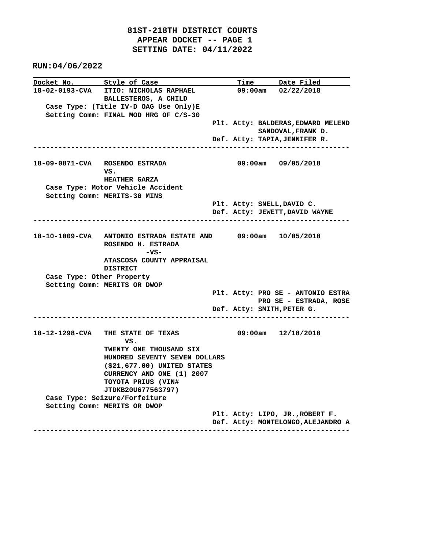**RUN:04/06/2022**

| Docket No. Style of Case  |                                                              |  | Time Date Filed                                          |
|---------------------------|--------------------------------------------------------------|--|----------------------------------------------------------|
| 18-02-0193-CVA            | <b>ITIO: NICHOLAS RAPHAEL</b>                                |  | 09:00am 02/22/2018                                       |
|                           | BALLESTEROS, A CHILD                                         |  |                                                          |
|                           | Case Type: (Title IV-D OAG Use Only)E                        |  |                                                          |
|                           | Setting Comm: FINAL MOD HRG OF C/S-30                        |  |                                                          |
|                           |                                                              |  | Plt. Atty: BALDERAS, EDWARD MELEND<br>SANDOVAL, FRANK D. |
|                           |                                                              |  | Def. Atty: TAPIA, JENNIFER R.                            |
|                           |                                                              |  |                                                          |
|                           | 18-09-0871-CVA ROSENDO ESTRADA                               |  | $09:00am$ $09/05/2018$                                   |
|                           | VS.                                                          |  |                                                          |
|                           | <b>HEATHER GARZA</b>                                         |  |                                                          |
|                           | Case Type: Motor Vehicle Accident                            |  |                                                          |
|                           | Setting Comm: MERITS-30 MINS                                 |  | Plt. Atty: SNELL, DAVID C.                               |
|                           |                                                              |  | Def. Atty: JEWETT, DAVID WAYNE                           |
|                           |                                                              |  |                                                          |
|                           |                                                              |  |                                                          |
|                           | 18-10-1009-CVA ANTONIO ESTRADA ESTATE AND 09:00am 10/05/2018 |  |                                                          |
|                           | ROSENDO H. ESTRADA<br>-vs-                                   |  |                                                          |
|                           | ATASCOSA COUNTY APPRAISAL                                    |  |                                                          |
|                           | <b>DISTRICT</b>                                              |  |                                                          |
| Case Type: Other Property |                                                              |  |                                                          |
|                           | Setting Comm: MERITS OR DWOP                                 |  |                                                          |
|                           |                                                              |  | Plt. Atty: PRO SE - ANTONIO ESTRA                        |
|                           |                                                              |  | PRO SE - ESTRADA, ROSE                                   |
|                           |                                                              |  | Def. Atty: SMITH, PETER G.                               |
|                           |                                                              |  |                                                          |
|                           | 18-12-1298-CVA THE STATE OF TEXAS                            |  | $09:00am$ $12/18/2018$                                   |
|                           | VS.<br>TWENTY ONE THOUSAND SIX                               |  |                                                          |
|                           | HUNDRED SEVENTY SEVEN DOLLARS                                |  |                                                          |
|                           | $(S21, 677.00)$ UNITED STATES                                |  |                                                          |
|                           | CURRENCY AND ONE (1) 2007                                    |  |                                                          |
|                           | TOYOTA PRIUS (VIN#                                           |  |                                                          |
|                           | JTDKB20U677563797)                                           |  |                                                          |
|                           | Case Type: Seizure/Forfeiture                                |  |                                                          |
|                           | Setting Comm: MERITS OR DWOP                                 |  |                                                          |
|                           |                                                              |  | Plt. Atty: LIPO, JR., ROBERT F.                          |
|                           |                                                              |  | Def. Atty: MONTELONGO, ALEJANDRO A                       |
|                           |                                                              |  |                                                          |